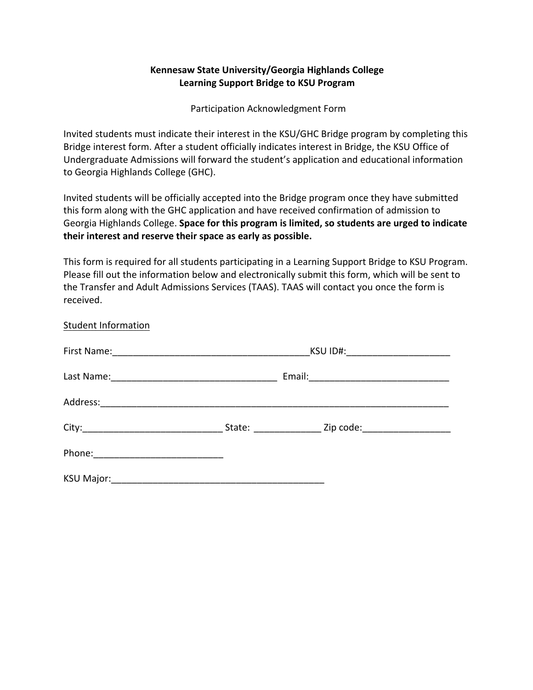## **Kennesaw State University/Georgia Highlands College Learning Support Bridge to KSU Program**

Participation Acknowledgment Form

Invited students must indicate their interest in the KSU/GHC Bridge program by completing this Bridge interest form. After a student officially indicates interest in Bridge, the KSU Office of Undergraduate Admissions will forward the student's application and educational information to Georgia Highlands College (GHC).

Invited students will be officially accepted into the Bridge program once they have submitted this form along with the GHC application and have received confirmation of admission to Georgia Highlands College. **Space for this program is limited, so students are urged to indicate their interest and reserve their space as early as possible.**

This form is required for all students participating in a Learning Support Bridge to KSU Program. Please fill out the information below and electronically submit this form, which will be sent to the Transfer and Adult Admissions Services (TAAS). TAAS will contact you once the form is received.

| staacht mnonnation |                                   |                               |  |
|--------------------|-----------------------------------|-------------------------------|--|
|                    | KSU ID#: ________________________ |                               |  |
|                    |                                   |                               |  |
| Address:           |                                   |                               |  |
|                    |                                   | Zip code:____________________ |  |
| Phone:             |                                   |                               |  |
| <b>KSU Major:</b>  |                                   |                               |  |

Student Information